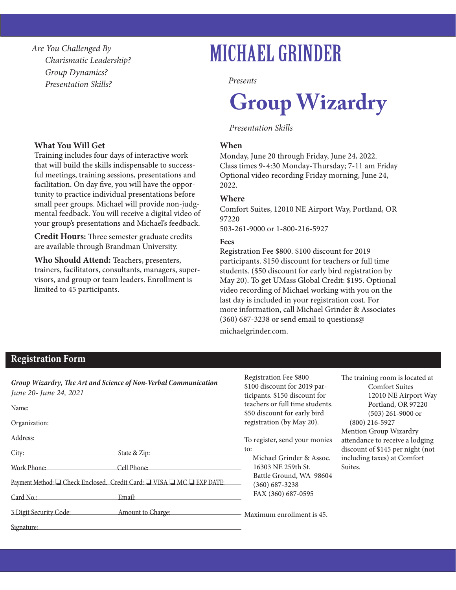*Are You Challenged By Charismatic Leadership? Group Dynamics? Presentation Skills?*

# MICHAEL GRINDER

*Presents*

# **Group Wizardry**

#### *Presentation Skills*

#### **When**

Monday, June 20 through Friday, June 24, 2022. Class times 9-4:30 Monday-Thursday; 7-11 am Friday Optional video recording Friday morning, June 24, 2022.

#### **Where**

Comfort Suites, 12010 NE Airport Way, Portland, OR 97220

503-261-9000 or 1-800-216-5927

#### **Fees**

Registration Fee \$800. \$100 discount for 2019 participants. \$150 discount for teachers or full time students. (\$50 discount for early bird registration by May 20). To get UMass Global Credit: \$195. Optional video recording of Michael working with you on the last day is included in your registration cost. For more information, call Michael Grinder & Associates (360) 687-3238 or send email to questions@ michaelgrinder.com.

#### **What You Will Get**

Training includes four days of interactive work that will build the skills indispensable to successful meetings, training sessions, presentations and facilitation. On day five, you will have the opportunity to practice individual presentations before small peer groups. Michael will provide non-judgmental feedback. You will receive a digital video of your group's presentations and Michael's feedback.

**Credit Hours:** Three semester graduate credits are available through Brandman University.

**Who Should Attend:** Teachers, presenters, trainers, facilitators, consultants, managers, supervisors, and group or team leaders. Enrollment is limited to 45 participants.

### **Registration Form**

| Group Wizardry, The Art and Science of Non-Verbal Communication<br>June 20- June 24, 2021 | Registration Fee \$800<br>\$100 discount for 2019 par-<br>ticipants. \$150 discount for   | The training room is located at<br><b>Comfort Suites</b><br>12010 NE Airport Way |
|-------------------------------------------------------------------------------------------|-------------------------------------------------------------------------------------------|----------------------------------------------------------------------------------|
| Name:                                                                                     | teachers or full time students.<br>\$50 discount for early bird                           | Portland, OR 97220<br>$(503)$ 261-9000 or                                        |
| Organization:                                                                             | registration (by May 20).                                                                 | $(800)$ 216-5927                                                                 |
| Address:                                                                                  | To register, send your monies                                                             | Mention Group Wizardry<br>attendance to receive a lodging                        |
| State & Zip:<br>City:                                                                     | to:<br>Michael Grinder & Assoc.                                                           | discount of \$145 per night (not<br>including taxes) at Comfort                  |
| <b>Work Phone:</b><br>Cell Phone:                                                         | 16303 NE 259th St.<br>Battle Ground, WA 98604<br>$(360) 687 - 3238$<br>FAX (360) 687-0595 | Suites.                                                                          |
| Payment Method: □ Check Enclosed. Credit Card: □ VISA □ MC □ EXP DATE:                    |                                                                                           |                                                                                  |
| Card No.:<br>Email:                                                                       |                                                                                           |                                                                                  |
| 3 Digit Security Code:<br>Amount to Charge:                                               | Maximum enrollment is 45.                                                                 |                                                                                  |
| Signature:                                                                                |                                                                                           |                                                                                  |